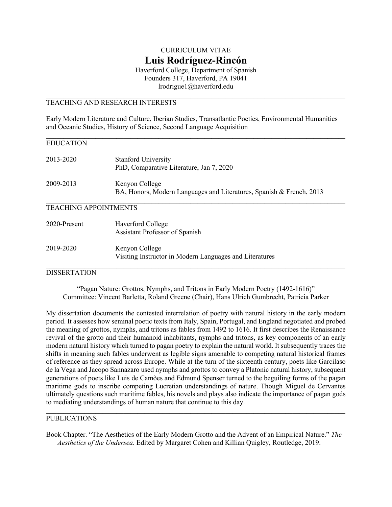# CURRICULUM VITAE **Luis Rodríguez-Rincón**

Haverford College, Department of Spanish Founders 317, Haverford, PA 19041 lrodrigue1@haverford.edu

## TEACHING AND RESEARCH INTERESTS

Early Modern Literature and Culture, Iberian Studies, Transatlantic Poetics, Environmental Humanities and Oceanic Studies, History of Science, Second Language Acquisition

| <b>EDUCATION</b>             |                                                                                        |
|------------------------------|----------------------------------------------------------------------------------------|
| 2013-2020                    | <b>Stanford University</b><br>PhD, Comparative Literature, Jan 7, 2020                 |
| 2009-2013                    | Kenyon College<br>BA, Honors, Modern Languages and Literatures, Spanish & French, 2013 |
| <b>TEACHING APPOINTMENTS</b> |                                                                                        |
| 2020-Present                 | Haverford College<br>Assistant Professor of Spanish                                    |
| 2019-2020                    | Kenyon College<br>Visiting Instructor in Modern Languages and Literatures              |

#### **DISSERTATION**

"Pagan Nature: Grottos, Nymphs, and Tritons in Early Modern Poetry (1492-1616)" Committee: Vincent Barletta, Roland Greene (Chair), Hans Ulrich Gumbrecht, Patricia Parker

My dissertation documents the contested interrelation of poetry with natural history in the early modern period. It assesses how seminal poetic texts from Italy, Spain, Portugal, and England negotiated and probed the meaning of grottos, nymphs, and tritons as fables from 1492 to 1616. It first describes the Renaissance revival of the grotto and their humanoid inhabitants, nymphs and tritons, as key components of an early modern natural history which turned to pagan poetry to explain the natural world. It subsequently traces the shifts in meaning such fables underwent as legible signs amenable to competing natural historical frames of reference as they spread across Europe. While at the turn of the sixteenth century, poets like Garcilaso de la Vega and Jacopo Sannazaro used nymphs and grottos to convey a Platonic natural history, subsequent generations of poets like Luis de Camões and Edmund Spenser turned to the beguiling forms of the pagan maritime gods to inscribe competing Lucretian understandings of nature. Though Miguel de Cervantes ultimately questions such maritime fables, his novels and plays also indicate the importance of pagan gods to mediating understandings of human nature that continue to this day.

#### PUBLICATIONS

Book Chapter. "The Aesthetics of the Early Modern Grotto and the Advent of an Empirical Nature." *The Aesthetics of the Undersea*. Edited by Margaret Cohen and Killian Quigley, Routledge, 2019.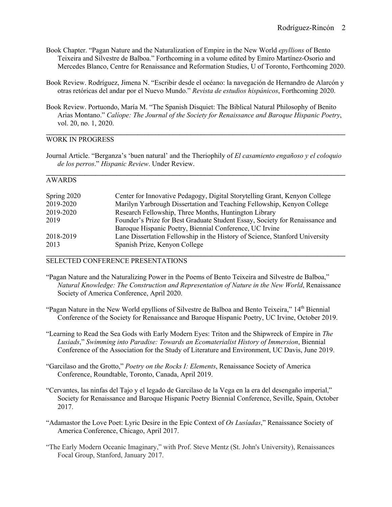- Book Chapter. "Pagan Nature and the Naturalization of Empire in the New World *epyllions* of Bento Teixeira and Silvestre de Balboa." Forthcoming in a volume edited by Emiro Martínez-Osorio and Mercedes Blanco, Centre for Renaissance and Reformation Studies, U of Toronto, Forthcoming 2020.
- Book Review. Rodríguez, Jimena N. "Escribir desde el océano: la navegación de Hernandro de Alarcón y otras retóricas del andar por el Nuevo Mundo." *Revista de estudios hispánicos*, Forthcoming 2020.
- Book Review. Portuondo, María M. "The Spanish Disquiet: The Biblical Natural Philosophy of Benito Arias Montano." *Calíope: The Journal of the Society for Renaissance and Baroque Hispanic Poetry*, vol. 20, no. 1, 2020.

**\_\_\_\_\_\_\_\_\_\_\_\_\_\_\_\_\_\_\_\_\_\_\_\_\_\_\_\_\_\_\_\_\_\_\_\_\_\_\_\_\_\_\_\_\_\_\_\_\_\_\_\_\_\_\_\_\_\_\_\_\_\_\_\_\_\_\_\_\_\_\_\_\_\_\_\_\_\_\_\_\_\_\_\_\_**

## WORK IN PROGRESS

Journal Article. "Berganza's 'buen natural' and the Theriophily of *El casamiento engañoso y el coloquio de los perros*." *Hispanic Review*. Under Review.

#### AWARDS

| Spring 2020 | Center for Innovative Pedagogy, Digital Storytelling Grant, Kenyon College   |
|-------------|------------------------------------------------------------------------------|
| 2019-2020   | Marilyn Yarbrough Dissertation and Teaching Fellowship, Kenyon College       |
| 2019-2020   | Research Fellowship, Three Months, Huntington Library                        |
| 2019        | Founder's Prize for Best Graduate Student Essay, Society for Renaissance and |
|             | Baroque Hispanic Poetry, Biennial Conference, UC Irvine                      |
| 2018-2019   | Lane Dissertation Fellowship in the History of Science, Stanford University  |
| 2013        | Spanish Prize, Kenyon College                                                |
|             |                                                                              |

### SELECTED CONFERENCE PRESENTATIONS

- "Pagan Nature and the Naturalizing Power in the Poems of Bento Teixeira and Silvestre de Balboa," *Natural Knowledge: The Construction and Representation of Nature in the New World*, Renaissance Society of America Conference, April 2020.
- "Pagan Nature in the New World epyllions of Silvestre de Balboa and Bento Teixeira,"  $14<sup>th</sup>$  Biennial Conference of the Society for Renaissance and Baroque Hispanic Poetry, UC Irvine, October 2019.
- "Learning to Read the Sea Gods with Early Modern Eyes: Triton and the Shipwreck of Empire in *The Lusiads*," *Swimming into Paradise: Towards an Ecomaterialist History of Immersion*, Biennial Conference of the Association for the Study of Literature and Environment, UC Davis, June 2019.
- "Garcilaso and the Grotto," *Poetry on the Rocks I: Elements*, Renaissance Society of America Conference, Roundtable, Toronto, Canada, April 2019.
- "Cervantes, las ninfas del Tajo y el legado de Garcilaso de la Vega en la era del desengaño imperial," Society for Renaissance and Baroque Hispanic Poetry Biennial Conference, Seville, Spain, October 2017.
- "Adamastor the Love Poet: Lyric Desire in the Epic Context of *Os Lusíadas*," Renaissance Society of America Conference, Chicago, April 2017.
- "The Early Modern Oceanic Imaginary," with Prof. Steve Mentz (St. John's University), Renaissances Focal Group, Stanford, January 2017.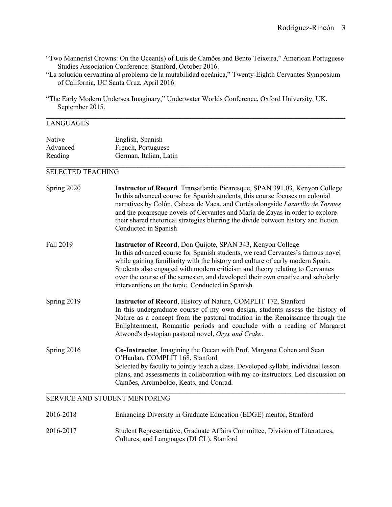"Two Mannerist Crowns: On the Ocean(s) of Luis de Camões and Bento Teixeira," American Portuguese Studies Association Conference*,* Stanford, October 2016.

"La solución cervantina al problema de la mutabilidad oceánica," Twenty-Eighth Cervantes Symposium of California, UC Santa Cruz, April 2016.

**\_\_\_\_\_\_\_\_\_\_\_\_\_\_\_\_\_\_\_\_\_\_\_\_\_\_\_\_\_\_\_\_\_\_\_\_\_\_\_\_\_\_\_\_\_\_\_\_\_\_\_\_\_\_\_\_\_\_\_\_\_\_\_\_\_\_\_\_\_\_\_\_\_\_\_\_\_\_\_\_\_\_\_\_\_**

## LANGUAGES

| Native   | English, Spanish       |  |
|----------|------------------------|--|
| Advanced | French, Portuguese     |  |
| Reading  | German, Italian, Latin |  |

### SELECTED TEACHING

| Spring 2020 | Instructor of Record, Transatlantic Picaresque, SPAN 391.03, Kenyon College<br>In this advanced course for Spanish students, this course focuses on colonial<br>narratives by Colón, Cabeza de Vaca, and Cortés alongside Lazarillo de Tormes<br>and the picaresque novels of Cervantes and María de Zayas in order to explore<br>their shared rhetorical strategies blurring the divide between history and fiction.<br>Conducted in Spanish          |
|-------------|--------------------------------------------------------------------------------------------------------------------------------------------------------------------------------------------------------------------------------------------------------------------------------------------------------------------------------------------------------------------------------------------------------------------------------------------------------|
| Fall 2019   | Instructor of Record, Don Quijote, SPAN 343, Kenyon College<br>In this advanced course for Spanish students, we read Cervantes's famous novel<br>while gaining familiarity with the history and culture of early modern Spain.<br>Students also engaged with modern criticism and theory relating to Cervantes<br>over the course of the semester, and developed their own creative and scholarly<br>interventions on the topic. Conducted in Spanish. |
| Spring 2019 | Instructor of Record, History of Nature, COMPLIT 172, Stanford<br>In this undergraduate course of my own design, students assess the history of<br>Nature as a concept from the pastoral tradition in the Renaissance through the<br>Enlightenment, Romantic periods and conclude with a reading of Margaret<br>Atwood's dystopian pastoral novel, Oryx and Crake.                                                                                     |
| Spring 2016 | Co-Instructor, Imagining the Ocean with Prof. Margaret Cohen and Sean<br>O'Hanlan, COMPLIT 168, Stanford<br>Selected by faculty to jointly teach a class. Developed syllabi, individual lesson<br>plans, and assessments in collaboration with my co-instructors. Led discussion on<br>Camões, Arcimboldo, Keats, and Conrad.                                                                                                                          |

#### SERVICE AND STUDENT MENTORING

| 2016-2018 | Enhancing Diversity in Graduate Education (EDGE) mentor, Stanford                                                        |
|-----------|--------------------------------------------------------------------------------------------------------------------------|
| 2016-2017 | Student Representative, Graduate Affairs Committee, Division of Literatures,<br>Cultures, and Languages (DLCL), Stanford |

<sup>&</sup>quot;The Early Modern Undersea Imaginary," Underwater Worlds Conference, Oxford University, UK, September 2015.